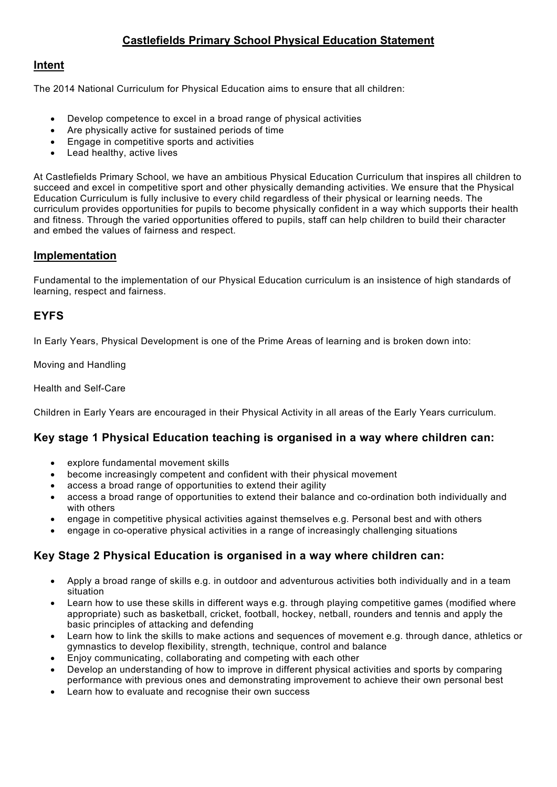# **Castlefields Primary School Physical Education Statement**

### **Intent**

The 2014 National Curriculum for Physical Education aims to ensure that all children:

- Develop competence to excel in a broad range of physical activities
- Are physically active for sustained periods of time
- Engage in competitive sports and activities
- Lead healthy, active lives

At Castlefields Primary School, we have an ambitious Physical Education Curriculum that inspires all children to succeed and excel in competitive sport and other physically demanding activities. We ensure that the Physical Education Curriculum is fully inclusive to every child regardless of their physical or learning needs. The curriculum provides opportunities for pupils to become physically confident in a way which supports their health and fitness. Through the varied opportunities offered to pupils, staff can help children to build their character and embed the values of fairness and respect.

#### **Implementation**

Fundamental to the implementation of our Physical Education curriculum is an insistence of high standards of learning, respect and fairness.

### **EYFS**

In Early Years, Physical Development is one of the Prime Areas of learning and is broken down into:

Moving and Handling

Health and Self-Care

Children in Early Years are encouraged in their Physical Activity in all areas of the Early Years curriculum.

# **Key stage 1 Physical Education teaching is organised in a way where children can:**

- explore fundamental movement skills
- become increasingly competent and confident with their physical movement
- access a broad range of opportunities to extend their agility
- access a broad range of opportunities to extend their balance and co-ordination both individually and with others
- engage in competitive physical activities against themselves e.g. Personal best and with others
- engage in co-operative physical activities in a range of increasingly challenging situations

#### **Key Stage 2 Physical Education is organised in a way where children can:**

- Apply a broad range of skills e.g. in outdoor and adventurous activities both individually and in a team situation
- Learn how to use these skills in different ways e.g. through playing competitive games (modified where appropriate) such as basketball, cricket, football, hockey, netball, rounders and tennis and apply the basic principles of attacking and defending
- Learn how to link the skills to make actions and sequences of movement e.g. through dance, athletics or gymnastics to develop flexibility, strength, technique, control and balance
- Enjoy communicating, collaborating and competing with each other
- Develop an understanding of how to improve in different physical activities and sports by comparing performance with previous ones and demonstrating improvement to achieve their own personal best
- Learn how to evaluate and recognise their own success